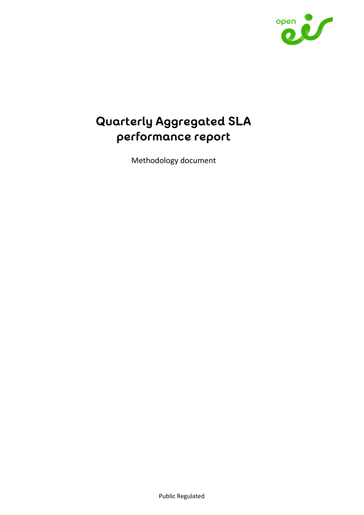

# **Quarterly Aggregated SLA performance report**

Methodology document

Public Regulated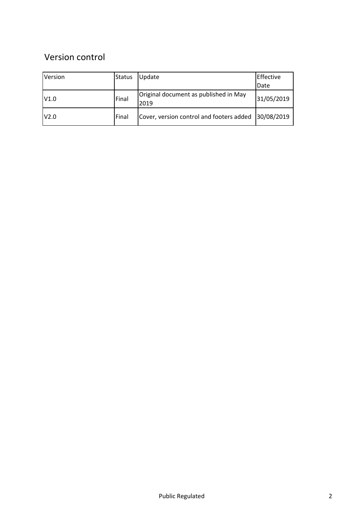# Version control

| Version | <b>Status</b> | Update                                              | Effective  |
|---------|---------------|-----------------------------------------------------|------------|
|         |               |                                                     | Date       |
| V1.0    | Final         | Original document as published in May<br>2019       | 31/05/2019 |
| V2.0    | Final         | Cover, version control and footers added 30/08/2019 |            |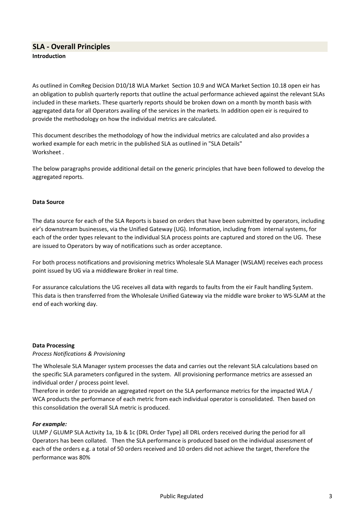# SLA - Overall Principles Introduction

As outlined in ComReg Decision D10/18 WLA Market Section 10.9 and WCA Market Section 10.18 open eir has an obligation to publish quarterly reports that outline the actual performance achieved against the relevant SLAs included in these markets. These quarterly reports should be broken down on a month by month basis with aggregated data for all Operators availing of the services in the markets. In addition open eir is required to provide the methodology on how the individual metrics are calculated.

This document describes the methodology of how the individual metrics are calculated and also provides a worked example for each metric in the published SLA as outlined in "SLA Details" Worksheet

The below paragraphs provide additional detail on the generic principles that have been followed to develop the aggregated reports.

### Data Source

The data source for each of the SLA Reports is based on orders that have been submitted by operators, including eir's downstream businesses, via the Unified Gateway (UG). Information, including from internal systems, for each of the order types relevant to the individual SLA process points are captured and stored on the UG. These are issued to Operators by way of notifications such as order acceptance.

For both process notifications and provisioning metrics Wholesale SLA Manager (WSLAM) receives each process point issued by UG via a middleware Broker in real time.

For assurance calculations the UG receives all data with regards to faults from the eir Fault handling System. This data is then transferred from the Wholesale Unified Gateway via the middle ware broker to WS-SLAM at the end of each working day.

### Data Processing

### Process Notifications & Provisioning

The Wholesale SLA Manager system processes the data and carries out the relevant SLA calculations based on the specific SLA parameters configured in the system. All provisioning performance metrics are assessed an individual order / process point level.

Therefore in order to provide an aggregated report on the SLA performance metrics for the impacted WLA / WCA products the performance of each metric from each individual operator is consolidated. Then based on this consolidation the overall SLA metric is produced.

### For example:

ULMP / GLUMP SLA Activity 1a, 1b & 1c (DRL Order Type) all DRL orders received during the period for all Operators has been collated. Then the SLA performance is produced based on the individual assessment of each of the orders e.g. a total of 50 orders received and 10 orders did not achieve the target, therefore the performance was 80%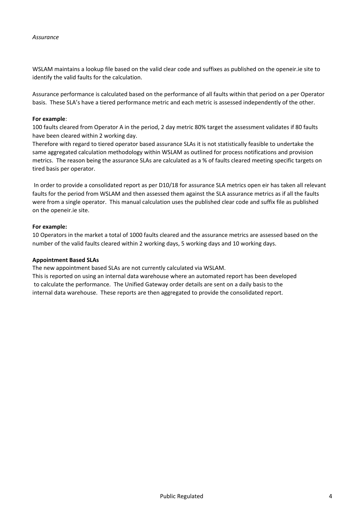WSLAM maintains a lookup file based on the valid clear code and suffixes as published on the openeir.ie site to identify the valid faults for the calculation.

Assurance performance is calculated based on the performance of all faults within that period on a per Operator basis. These SLA's have a tiered performance metric and each metric is assessed independently of the other.

#### For example:

100 faults cleared from Operator A in the period, 2 day metric 80% target the assessment validates if 80 faults have been cleared within 2 working day.

Therefore with regard to tiered operator based assurance SLAs it is not statistically feasible to undertake the same aggregated calculation methodology within WSLAM as outlined for process notifications and provision metrics. The reason being the assurance SLAs are calculated as a % of faults cleared meeting specific targets on tired basis per operator.

 In order to provide a consolidated report as per D10/18 for assurance SLA metrics open eir has taken all relevant faults for the period from WSLAM and then assessed them against the SLA assurance metrics as if all the faults were from a single operator. This manual calculation uses the published clear code and suffix file as published on the openeir.ie site.

#### For example:

10 Operators in the market a total of 1000 faults cleared and the assurance metrics are assessed based on the number of the valid faults cleared within 2 working days, 5 working days and 10 working days.

#### Appointment Based SLAs

The new appointment based SLAs are not currently calculated via WSLAM.

This is reported on using an internal data warehouse where an automated report has been developed to calculate the performance. The Unified Gateway order details are sent on a daily basis to the internal data warehouse. These reports are then aggregated to provide the consolidated report.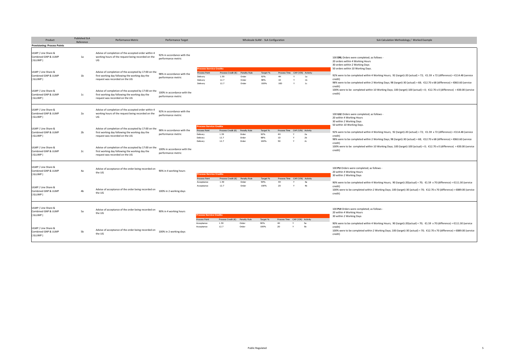| Product                                                                                                        | <b>Published SLA</b><br>Reference | <b>Performance Metric</b>                                                                                                                                                                                                                                                              | Performance Target                                                                                    |                                                                                     |                                            |                                         | Wholesale SLAM - SLA Configuration |                 |                                                 |                                        | SLA Calculation Methodology / Worked Example                                                                                                                                                                                                                                                                                                                                                                                                               |
|----------------------------------------------------------------------------------------------------------------|-----------------------------------|----------------------------------------------------------------------------------------------------------------------------------------------------------------------------------------------------------------------------------------------------------------------------------------|-------------------------------------------------------------------------------------------------------|-------------------------------------------------------------------------------------|--------------------------------------------|-----------------------------------------|------------------------------------|-----------------|-------------------------------------------------|----------------------------------------|------------------------------------------------------------------------------------------------------------------------------------------------------------------------------------------------------------------------------------------------------------------------------------------------------------------------------------------------------------------------------------------------------------------------------------------------------------|
| <b>Provisioning: Process Points</b>                                                                            |                                   |                                                                                                                                                                                                                                                                                        |                                                                                                       |                                                                                     |                                            |                                         |                                    |                 |                                                 |                                        |                                                                                                                                                                                                                                                                                                                                                                                                                                                            |
| ULMP / Line Share &<br>Combined GNP & ULMP<br>(GLUMP)                                                          | 1a                                | Advise of completion of the accepted order within 4<br>working hours of the request being recorded on the<br>UG                                                                                                                                                                        | 92% in accordance with the<br>performance metric                                                      |                                                                                     |                                            |                                         |                                    |                 |                                                 |                                        | 100 DRL Orders were completed; as follows -<br>20 orders within 4 Working Hours<br>30 orders within 2 Working Days                                                                                                                                                                                                                                                                                                                                         |
| ULMP / Line Share &<br>Combined GNP & ULMP<br>(GLUMP)<br>ULMP / Line Share &<br>Combined GNP & ULMP<br>(GLUMP) | 1 <sub>b</sub><br>1c              | Advise of completion of the accepted by 17:00 on the<br>first working day following the working day the<br>request was recorded on the UG<br>Advise of completion of the accepted by 17:00 on the<br>first working day following the working day the<br>request was recorded on the UG | 98% in accordance with the<br>performance metric<br>100% in accordance with the<br>performance metric | <b>Process Service Credits</b><br>Process Point<br>Delivery<br>Delivery<br>Delivery | Process Credit (E)<br>1.59<br>12.7<br>12.7 | Penalty Rule<br>Order<br>Order<br>Order | Target %<br>92%<br>98%<br>100%     | 4H<br>1D<br>10D | Process Time CAP (Y/N) Activity                 | 1a<br>1 <sub>b</sub><br>1 <sub>c</sub> | 50 orders within 10 Working Days.<br>92% were to be completed within 4 Working Hours; 92 (target)-20 (actual) = 72; €1.59 x 72 (difference) = €114.48 (service<br>credit)<br>98% were to be completed within 2 Working Days; 98 (target)-30 (actual) = 68; €12.70 x 68 (difference) = €863.60 (service<br>credit)<br>100% were to be completed within 10 Working Days; 100 (target)-100 (actual) = 0; €12.70 x 0 (difference) = €00.00 (service<br>credit) |
| ULMP / Line Share &<br>Combined GNP & ULMP<br>(GLUMP)                                                          | 2a                                | Advise of completion of the accepted order within 4<br>working hours of the request being recorded on the<br>UG                                                                                                                                                                        | 92% in accordance with the<br>performance metric                                                      |                                                                                     |                                            |                                         |                                    |                 |                                                 |                                        | 100 ULE Orders were completed; as follows -<br>20 within 4 Working Hours<br>30 within 2 Working Days                                                                                                                                                                                                                                                                                                                                                       |
| ULMP / Line Share &<br>Combined GNP & ULMP<br>(GLUMP)                                                          | 2 <sub>b</sub>                    | Advise of completion of the accepted by 17:00 on the<br>first working day following the working day the<br>request was recorded on the UG                                                                                                                                              | 98% in accordance with the<br>performance metric                                                      | Process Service Credits<br>Process Point<br>Delivery<br>Delivery<br>Delivery        | Process Credit (€)<br>1.59<br>12.7<br>12.7 | Penalty Rule<br>Order<br>Order<br>Order | Target %<br>92%<br>98%<br>100%     | 4H<br>1D<br>5D  | Process Time CAP (Y/N) Activity<br>$\mathbf{Y}$ | 2a<br>2 <sub>b</sub><br>2c             | 50 within 10 Working Days.<br>92% were to be completed within 4 Working Hours; 92 (target)-20 (actual) = 72; €1.59 x 72 (difference) = €114.48 (service<br>credit)<br>98% were to be completed within 2 Working Days; 98 (target)-30 (actual) = 68; €12.70 x 68 (difference) = €863.60 (service                                                                                                                                                            |
| ULMP / Line Share &<br>Combined GNP & ULMP<br>(GLUMP)                                                          | 2c                                | Advise of completion of the accepted by 17:00 on the<br>first working day following the working day the<br>request was recorded on the UG                                                                                                                                              | 100% in accordance with the<br>performance metric                                                     |                                                                                     |                                            |                                         |                                    |                 |                                                 |                                        | credit)<br>100% were to be completed within 10 Working Days; 100 (target)-100 (actual) = 0; €12.70 x 0 (difference) = €00.00 (service<br>credit)                                                                                                                                                                                                                                                                                                           |
| ULMP / Line Share &<br>Combined GNP & ULMP<br>(GLUMP)                                                          | 4a                                | Advise of acceptance of the order being recorded on<br>the UG                                                                                                                                                                                                                          | 90% in 4 working hours                                                                                | <b>Process Service Credits</b><br>Process Point<br>Accentance                       | Process Credit $(E)$                       | Penalty Rule                            | Target %<br>90%                    | 4H              | Process Time CAP (Y/N) Activity                 |                                        | 100 PU Orders were completed; as follows<br>20 within 4 Working Hours<br>30 within 2 Working Days                                                                                                                                                                                                                                                                                                                                                          |
| ULMP / Line Share &<br>Combined GNP & ULMP<br>(GLUMP)                                                          | 4 <sub>b</sub>                    | Advise of acceptance of the order being recorded on<br>the UG                                                                                                                                                                                                                          | 100% in 2 working days                                                                                | Acceptance                                                                          | 1.59<br>12.7                               | Order<br>Order                          | 100%                               | 2D              | $\checkmark$                                    | 4a<br>4 <sub>b</sub>                   | 90% were to be completed within 4 Working Hours; 90 (target)-20(actual) = 70; €1.59 x 70 (difference) = €111.30 (service<br>credit)<br>100% were to be completed within 2 Working Days; 100 (target)-30 (actual) = 70; €12.70 x 70 (difference) = €889.00 (service<br>credit)                                                                                                                                                                              |
| ULMP / Line Share &<br>Combined GNP & ULMP<br>(GLUMP)                                                          | 5a                                | Advise of acceptance of the order being recorded on<br>the UG                                                                                                                                                                                                                          | 90% in 4 working hours                                                                                | <b>Process Service Credits</b><br>Process Point                                     | Process Credit (€)                         | Penalty Rule                            | Target %                           |                 | Process Time CAP (Y/N) Activity                 |                                        | 100 PUI Orders were completed; as follows -<br>20 within 4 Working Hours<br>30 within 2 Working Days                                                                                                                                                                                                                                                                                                                                                       |
| ULMP / Line Share &<br>Combined GNP & ULMP<br>(GLUMP)                                                          | 5b                                | Advise of acceptance of the order being recorded on<br>the UG                                                                                                                                                                                                                          | 100% in 2 working days                                                                                | Acceptance<br>Acceptance                                                            | 1.59<br>12.7                               | Order<br>Order                          | 90%<br>100%                        | 4H<br>2D        | Y                                               | 5a<br>5b                               | 90% were to be completed within 4 Working Hours; 90 (target)-20(actual) = 70; €1.59 x 70 (difference) = €111.30 (service<br>credit)<br>100% were to be completed within 2 Working Days; 100 (target)-30 (actual) = 70; €12.70 x 70 (difference) = €889.00 (service<br>credit)                                                                                                                                                                              |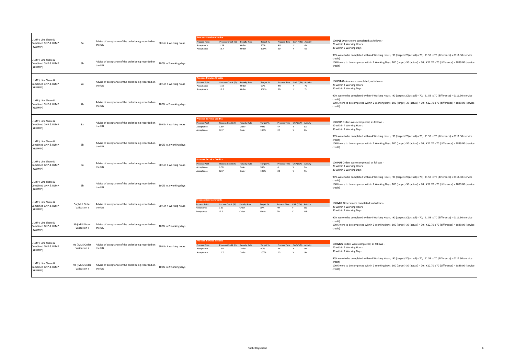| ULMP / Line Share &<br>Combined GNP & ULMP<br>(GLUMP) | 6a                            | Advise of acceptance of the order being recorded on<br>the UG | 90% in 4 working hours | ocess Service Credits<br>Process Point<br>Acceptance<br>Acceptance               | Process Credit (€)<br>1.59<br>12.7                  | Penalty Rule<br>Order<br>Order | Target %<br>90%<br>100% | Process Time CAP (Y/N) Activity<br>2D       |   | 6a<br>6 <b>b</b>     | 100 PLS Orders were completed; as follows -<br>20 within 4 Working Hours<br>30 within 2 Working Days                                                                                                                                                                          |
|-------------------------------------------------------|-------------------------------|---------------------------------------------------------------|------------------------|----------------------------------------------------------------------------------|-----------------------------------------------------|--------------------------------|-------------------------|---------------------------------------------|---|----------------------|-------------------------------------------------------------------------------------------------------------------------------------------------------------------------------------------------------------------------------------------------------------------------------|
| ULMP / Line Share &<br>Combined GNP & ULMP<br>(GLUMP) | 6b                            | Advise of acceptance of the order being recorded on<br>the UG | 100% in 2 working days |                                                                                  |                                                     |                                |                         |                                             |   |                      | 90% were to be completed within 4 Working Hours; 90 (target)-20(actual) = 70; €1.59 x 70 (difference) = €111.30 (service<br>credit)<br>100% were to be completed within 2 Working Days; 100 (target)-30 (actual) = 70; €12.70 x 70 (difference) = €889.00 (service<br>credit) |
| ULMP / Line Share &<br>Combined GNP & ULMP<br>(GLUMP) | 7a                            | Advise of acceptance of the order being recorded on<br>the UG | 90% in 4 working hours | <b>Process Point</b><br>Acceptance<br>Acceptance                                 | ice Credits<br>Process Credit $(E)$<br>1.59<br>12.7 | Penalty Rule<br>Order<br>Order | Target %<br>90%<br>100% | Process Time CAP (Y/N) Activity<br>4H<br>2D |   | 7a<br>7 <sub>b</sub> | 100 PLB Orders were completed; as follows -<br>20 within 4 Working Hours<br>30 within 2 Working Days                                                                                                                                                                          |
| ULMP / Line Share &<br>Combined GNP & ULMP<br>(GLUMP) | 7b                            | Advise of acceptance of the order being recorded on<br>the UG | 100% in 2 working days |                                                                                  |                                                     |                                |                         |                                             |   |                      | 90% were to be completed within 4 Working Hours; 90 (target)-20(actual) = 70; €1.59 x 70 (difference) = €111.30 (service<br>credit)<br>100% were to be completed within 2 Working Days; 100 (target)-30 (actual) = 70; €12.70 x 70 (difference) = €889.00 (service<br>credit) |
| ULMP / Line Share &<br>Combined GNP & ULMP<br>(GLUMP) | 8a                            | Advise of acceptance of the order being recorded on<br>the UG | 90% in 4 working hours | rocess Service Credits<br><b>Process Point</b><br>Acceptance<br>Acceptance       | Process Credit (€)<br>1.59<br>12.7                  | Penalty Rule<br>Order<br>Order | Target %<br>90%<br>100% | Process Time CAP (Y/N) Activity<br>4H<br>2D |   | 8a<br>8 <sub>b</sub> | 100 CHP Orders were completed; as follows<br>20 within 4 Working Hours<br>30 within 2 Working Days                                                                                                                                                                            |
| ULMP / Line Share &<br>Combined GNP & ULMP<br>(GLUMP) | 8b                            | Advise of acceptance of the order being recorded on<br>the UG | 100% in 2 working days |                                                                                  |                                                     |                                |                         |                                             |   |                      | 90% were to be completed within 4 Working Hours; 90 (target)-20(actual) = 70; €1.59 x 70 (difference) = €111.30 (service<br>credit)<br>100% were to be completed within 2 Working Days; 100 (target)-30 (actual) = 70; €12.70 x 70 (difference) = €889.00 (service<br>credit) |
| ULMP / Line Share &<br>Combined GNP & ULMP<br>(GLUMP) | 9a                            | Advise of acceptance of the order being recorded on<br>the UG | 90% in 4 working hours | <b>pcess Service Credits</b><br><b>Process Point</b><br>Acceptance<br>Acceptance | Process Credit (€)<br>1.59<br>12.7                  | Penalty Rule<br>Order<br>Order | Target %<br>90%<br>100% | Process Time CAP (Y/N) Activity<br>4H<br>2D |   | 9a<br>9 <sub>b</sub> | 100 PUS Orders were completed; as follows<br>20 within 4 Working Hours<br>30 within 2 Working Days                                                                                                                                                                            |
| ULMP / Line Share &<br>Combined GNP & ULMP<br>(GLUMP) | 9 <sub>b</sub>                | Advise of acceptance of the order being recorded on<br>the UG | 100% in 2 working days |                                                                                  |                                                     |                                |                         |                                             |   |                      | 90% were to be completed within 4 Working Hours; 90 (target)-20(actual) = 70; €1.59 x 70 (difference) = €111.30 (service<br>credit)<br>100% were to be completed within 2 Working Days; 100 (target)-30 (actual) = 70; €12.70 x 70 (difference) = €889.00 (service<br>credit) |
| ULMP / Line Share &<br>Combined GNP & ULMP<br>(GLUMP) | 5a( MUI Order<br>Validation)  | Advise of acceptance of the order being recorded on<br>the UG | 90% in 4 working hours | <b>pcess Service Credits</b><br>Process Point<br>Acceptance<br>Acceptance        | Process Credit (6)<br>1.59<br>12.7                  | Penalty Rule<br>Order<br>Order | Target %<br>90%<br>100% | Process Time CAP (Y/N) Activity<br>4H<br>2D | Y | 11a<br>11b           | 100 MUI Orders were completed; as follows<br>20 within 4 Working Hours<br>30 within 2 Working Days                                                                                                                                                                            |
| ULMP / Line Share &<br>Combined GNP & ULMP<br>(GLUMP) | 5b (MUI Order<br>Validation)  | Advise of acceptance of the order being recorded on<br>the UG | 100% in 2 working days |                                                                                  |                                                     |                                |                         |                                             |   |                      | 90% were to be completed within 4 Working Hours; 90 (target)-20(actual) = 70; €1.59 x 70 (difference) = €111.30 (service<br>credit)<br>100% were to be completed within 2 Working Days; 100 (target)-30 (actual) = 70; €12.70 x 70 (difference) = €889.00 (service<br>credit) |
| ULMP / Line Share &<br>Combined GNP & ULMP<br>(GLUMP) | 9a (MUS Order<br>Validation)  | Advise of acceptance of the order being recorded on<br>the UG | 90% in 4 working hours | Process Point<br>Acceptance<br>Acceptance                                        | Process Credit (E)<br>1.59<br>12.7                  | Penalty Rule<br>Order<br>Order | Target %<br>90%<br>100% | Process Time CAP (Y/N) Activity<br>4H<br>2D |   | 9 <sub>b</sub>       | 100 MUS Orders were completed; as follows -<br>20 within 4 Working Hours<br>30 within 2 Working Days                                                                                                                                                                          |
| ULMP / Line Share &<br>Combined GNP & ULMP<br>(GLUMP) | 9b (MUS Order<br>Validation ) | Advise of acceptance of the order being recorded on<br>the UG | 100% in 2 working days |                                                                                  |                                                     |                                |                         |                                             |   |                      | 90% were to be completed within 4 Working Hours; 90 (target)-20(actual) = 70; €1.59 x 70 (difference) = €111.30 (service<br>credit)<br>100% were to be completed within 2 Working Days; 100 (target)-30 (actual) = 70; €12.70 x 70 (difference) = €889.00 (service<br>credit) |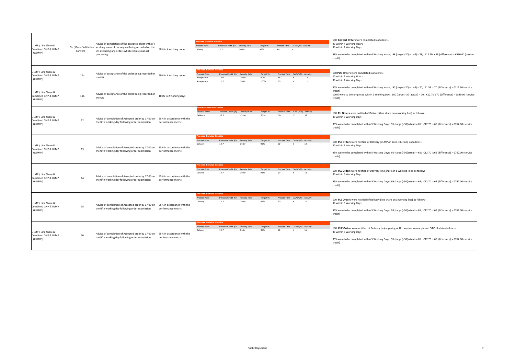| ULMP / Line Share &<br>Combined GNP & ULMP<br>(GLUMP) | Convert) )      | Advise of completion of the accepted order within 4<br>9b (Order Validation working hours of the request being recorded on the<br>UG excluding any orders which require manual<br>processing | 98% in 4 working hours                           | rocess Service Credits<br>Process Point<br>Delivery                         | Process Credit (€) Penalty Rule<br>12.7 | Order                          | Target %<br><b>QR96</b> | Process Time CAP (Y/N) Activity<br>4H       | $\checkmark$ |            | 100 Convert Orders were completed; as follows<br>20 within 4 Working Hours<br>30 within 2 Working Days<br>98% were to be completed within 4 Working Hours; 98 (target)-20(actual) = 78; €12.70 x 78 (difference) = €990.60 (service<br>credit)                                 |
|-------------------------------------------------------|-----------------|----------------------------------------------------------------------------------------------------------------------------------------------------------------------------------------------|--------------------------------------------------|-----------------------------------------------------------------------------|-----------------------------------------|--------------------------------|-------------------------|---------------------------------------------|--------------|------------|--------------------------------------------------------------------------------------------------------------------------------------------------------------------------------------------------------------------------------------------------------------------------------|
| ULMP / Line Share &<br>Combined GNP & ULMP<br>GLUMP)  | 11a             | Advise of acceptance of the order being recorded on<br>the UG                                                                                                                                | 90% in 4 working hours                           | <b>Process Service Credits</b><br>Process Point<br>Acceptance<br>Acceptance | Process Credit (E)<br>1.59<br>12.7      | Penalty Rule<br>Order<br>Order | Target %<br>90%<br>100% | Process Time CAP (Y/N) Activity<br>4H<br>2D |              | 11a<br>11b | 100 PUG Orders were completed; as follows<br>20 within 4 Working Hours<br>30 within 2 Working Days<br>90% were to be completed within 4 Working Hours; 90 (target)-20(actual) = 70; €1.59 x 70 (difference) = €111.30 (service                                                 |
| ULMP / Line Share &<br>Combined GNP & ULMP<br>GLUMP)  | 11 <sub>b</sub> | Advise of acceptance of the order being recorded on<br>the UG                                                                                                                                | 100% in 2 working days                           |                                                                             |                                         |                                |                         |                                             |              |            | credit)<br>100% were to be completed within 2 Working Days; 100 (target)-30 (actual) = 70; €12.70 x 70 (difference) = €889.00 (service<br>credit)                                                                                                                              |
| ULMP / Line Share &<br>Combined GNP & ULMP<br>(GLUMP) | 12              | Advice of completion of Accepted order by 17:00 on<br>the fifth working day following order submission                                                                                       | 95% in accordance with the<br>performance metric | <b>rocess Service Credits</b><br>Process Point<br>Deliven                   | Process Credit (E)<br>12.7              | Penalty Rule<br>Order          | Target %<br>95%         | Process Time CAP (Y/N) Activity<br>5D       |              | 12         | 100 PU Orders were notified of Delivery (line share on a working line) as follows -<br>30 within 5 Working Days<br>95% were to be completed within 5 Working Days: 95 (target)-30(actual) = 65; €12.70 x 65 (difference) = €762.00 (service<br>credit)                         |
| ULMP / Line Share &<br>Combined GNP & ULMP<br>(GLUMP) | 13              | Advice of completion of Accepted order by 17:00 on<br>the fifth working day following order submission                                                                                       | 95% in accordance with the<br>performance metric | rocess Service Credits<br>Process Point<br>Delivery                         | Process Credit $(E)$<br>12.7            | Penalty Rule<br>Order          | Target %<br>95%         | Process Time CAP (Y/N) Activity<br>5D.      |              | 13         | 100 PUI Orders were notified of Delivery (ULMP on an in-situ line) as follows -<br>30 within 5 Working Days<br>95% were to be completed within 5 Working Days: 95 (target)-30(actual) = 65; €12.70 x 65 (difference) = €762.00 (service<br>credit)                             |
| ULMP / Line Share &<br>Combined GNP & ULMP<br>(GLUMP) | 14              | Advice of completion of Accepted order by 17:00 on<br>the fifth working day following order submission                                                                                       | 95% in accordance with the<br>performance metric | <b>Tocess Service Credits</b><br>Process Point<br>Delivery                  | Process Credit (E)<br>12.7              | Penalty Rule<br>Order          | Target %<br>95%         | Process Time CAP (Y/N) Activity<br>5D.      |              | 14         | 100 PLS Orders were notified of Delivery (line share on a working line) as follows -<br>30 within 5 Working Days<br>95% were to be completed within 5 Working Days: 95 (target)-30(actual) = 65; €12.70 x 65 (difference) = €762.00 (service<br>credit)                        |
| ULMP / Line Share &<br>Combined GNP & ULMP<br>(GLUMP) | 15              | Advice of completion of Accepted order by 17:00 on<br>the fifth working day following order submission                                                                                       | 95% in accordance with the<br>performance metric | rocess Service Credits<br>Process Point<br>Delivery                         | Process Credit (E)<br>12.7              | Penalty Rule<br>Order          | Target %<br>95%         | Process Time CAP (Y/N) Activity<br>5D.      |              | 15         | 100 PLB Orders were notified of Delivery (line share on a working line) as follows -<br>30 within 5 Working Days<br>95% were to be completed within 5 Working Days: 95 (target)-30(actual) = 65; €12.70 x 65 (difference) = €762.00 (service<br>credit)                        |
| ULMP / Line Share &<br>Combined GNP & ULMP<br>(GLUMP) | 16              | Advice of completion of Accepted order by 17:00 on<br>the fifth working day following order submission                                                                                       | 95% in accordance with the<br>performance metric | rocess Service Credits<br>Process Point<br>Delivery                         | Process Credit (E)<br>12.7              | Penalty Rule<br>Order          | Target %<br>95%         | Process Time CAP (Y/N) Activity<br>5D.      |              | 16         | 100 CHP Orders were notified of Delivery (rejumpering of LLU service to new pins on OAO block) as follows -<br>30 within 5 Working Days<br>95% were to be completed within 5 Working Days: 95 (target)-30(actual) = 65; €12.70 x 65 (difference) = €762.00 (service<br>credit) |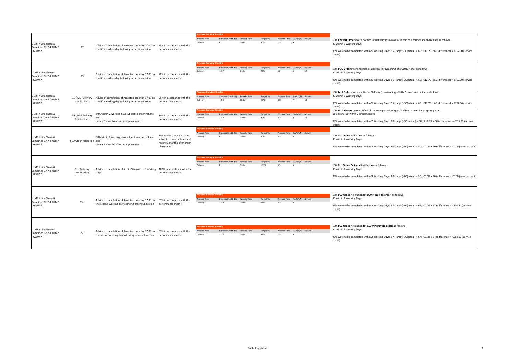|                                                       |                                   |                                                                                                                                    |                                                                                                       | rocess Service Credits                                      |                              |                       |                  |           |                                                 |                                                                                                                                                                                                                                                                               |
|-------------------------------------------------------|-----------------------------------|------------------------------------------------------------------------------------------------------------------------------------|-------------------------------------------------------------------------------------------------------|-------------------------------------------------------------|------------------------------|-----------------------|------------------|-----------|-------------------------------------------------|-------------------------------------------------------------------------------------------------------------------------------------------------------------------------------------------------------------------------------------------------------------------------------|
| ULMP / Line Share &<br>Combined GNP & ULMP<br>(GLUMP) | 17                                | Advice of completion of Accepted order by 17:00 on<br>the fifth working day following order submission                             | 95% in accordance with the<br>performance metric                                                      | Process Point<br>Delivery                                   | Process Credit (€)           | Penalty Rule<br>Order | Target %<br>95%  | 1D        | Process Time CAP (Y/N) Activity                 | 100 Convert Orders were notified of Delivery (provision of ULMP on a former line share line) as follows -<br>30 within 5 Working Days<br>95% were to be completed within 5 Working Days: 95 (target)-30(actual) = 65; €12.70 x 65 (difference) = €762.00 (service<br>credit)  |
| ULMP / Line Share &<br>Combined GNP & ULMP<br>(GLUMP) | 19                                | Advice of completion of Accepted order by 17:00 on<br>the fifth working day following order submission                             | 95% in accordance with the<br>performance metric                                                      | <b>Process Service Credits</b><br>Process Point<br>Delivery | Process Credit $(E)$<br>12.7 | Penalty Rule<br>Order | Target %<br>QFQ6 | <b>5D</b> | Process Time CAP (Y/N) Activity<br>19<br>$\vee$ | 100 PUG Orders were notified of Delivery (provisioning of a GLUMP line) as follows -<br>30 within 5 Working Days<br>95% were to be completed within 5 Working Days: 95 (target)-30(actual) = 65; €12.70 x 65 (difference) = €762.00 (service<br>credit)                       |
| ULMP / Line Share &<br>Combined GNP & ULMP<br>(GLUMP) | 13 (MUI Delivery<br>Notification) | Advice of completion of Accepted order by 17:00 on<br>the fifth working day following order submission                             | 95% in accordance with the<br>performance metric                                                      | rocess Service Credits<br>Process Point<br>Delivery         | Process Credit $(6)$<br>12.7 | Penalty Rule<br>Order | Target %<br>95%  | 5D        | Process Time CAP (Y/N) Activity<br>13<br>$\vee$ | 100 MUI Orders were notified of Delivery (provisioning of ULMP on an in-situ line) as follows -<br>30 within 5 Working Days<br>95% were to be completed within 5 Working Days: 95 (target)-30(actual) = 65; €12.70 x 65 (difference) = €762.00 (service<br>credit)            |
| ULMP / Line Share &<br>Combined GNP & ULMP<br>GLUMP)  | 18 (MUS Delivery<br>Notification) | 80% within 2 working days subject to order volume<br>and<br>review 3 months after order placement.                                 | 80% in accordance with the<br>performance metric                                                      | <b>Process Service Credits</b><br>Process Point<br>Delivery | Process Credit (€)<br>12.7   | Penalty Rule<br>Order | Target %<br>80%  | 2D        | Process Time CAP (Y/N) Activity<br>18           | 100 MUS Orders were notified of Delivery (provisioning of ULMP on a new line or spare pathe)<br>as follows - 30 within 2 Working Days<br>80% were to be completed within 2 Working Days: 80 (target)-30 (actual) = 50; €12.70 x 50 (difference) = €635.00 (service<br>credit) |
| ULMP / Line Share &<br>Combined GNP & ULMP<br>GLUMP)  | SLU Order Validation and          | 80% within 2 working days subject to order volume<br>review 3 months after order placement.                                        | 80% within 2 working days<br>subject to order volume and<br>review 3 months after order<br>placement. | <b>Process Service Credits</b><br>Process Point<br>Delivery | Process Credit $(E)$         | Penalty Rule<br>Order | Target %<br>80%  | 2D        | Process Time CAP (Y/N) Activity                 | 100 SLU Order Validation as follows<br>30 within 2 Working Days<br>80% were to be completed within 2 Working Days: 80 (target)-30(actual) = 50; €0.00 x 50 (difference) = €0.00 (service credit)                                                                              |
| ULMP / Line Share &<br>Combined GNP & ULMP<br>(GLUMP) | SLU Delivery<br>Notification      | Advice of completion of SLU in-Situ path in 5 working 100% in accordance with the<br>days                                          | performance metric                                                                                    | <b>Process Service Credits</b><br>Process Point<br>Delivery | Process Credit (E)           | Penalty Rule<br>Order | Target %<br>100% | <b>5D</b> | Process Time CAP (Y/N) Activity                 | 100 SLU Order Delivery Notification as follows<br>30 within 2 Working Days<br>80% were to be completed within 2 Working Days: 80 (target)-30(actual) = 50; €0.00 x 50 (difference) = €0.00 (service credit)                                                                   |
| ULMP / Line Share &<br>Combined GNP & ULMP<br>(GLUMP) | PSU                               | Advice of completion of Accepted order by 17:00 on 97% in accordance with the<br>the second working day following order submission | performance metric                                                                                    | <b>Process Service Credits</b><br>Process Point<br>Delivery | Process Credit $(E)$<br>12.7 | Penalty Rule<br>Order | Target %<br>97%  | 2D        | Process Time CAP (Y/N) Activity                 | 100 PSU Order Activation (of ULMP provide order) as follows -<br>30 within 2 Working Days<br>97% were to be completed within 2 Working Days: 97 (target)-30(actual) = 67; €0.00 x 67 (difference) = €850.90 (service<br>credit)                                               |
| ULMP / Line Share &<br>Combined GNP & ULMP<br>(GLUMP) | PSG                               | Advice of completion of Accepted order by 17:00 on 97% in accordance with the<br>the second working day following order submission | performance metric                                                                                    | rocess Service Credits<br>Process Point<br>Delivery         | Process Credit (€)<br>12.7   | Penalty Rule<br>Order | Target %<br>97%  | <b>2D</b> | Process Time CAP (Y/N) Activity                 | 100 PSG Order Activation (of GLUMP provide order) as follows -<br>30 within 2 Working Days<br>97% were to be completed within 2 Working Days: 97 (target)-30(actual) = 67; €0.00 x 67 (difference) = €850.90 (service<br>credit)                                              |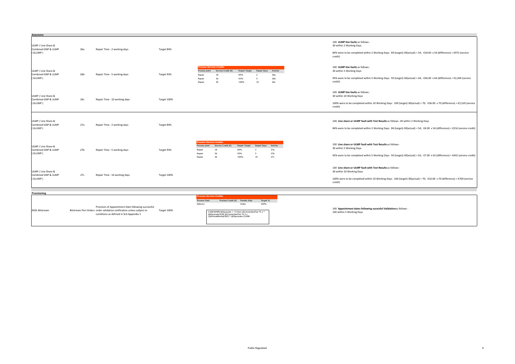| Assurance                                             |     |                                                                                                                                                                        |             |                                                                               |                                                                                                                                                                       |                                     |                                     |                                           |                                                                                                                                                                                                                                 |
|-------------------------------------------------------|-----|------------------------------------------------------------------------------------------------------------------------------------------------------------------------|-------------|-------------------------------------------------------------------------------|-----------------------------------------------------------------------------------------------------------------------------------------------------------------------|-------------------------------------|-------------------------------------|-------------------------------------------|---------------------------------------------------------------------------------------------------------------------------------------------------------------------------------------------------------------------------------|
| ULMP / Line Share &<br>Combined GNP & ULMP<br>(GLUMP) | 26a | Repair Time : 2 working days                                                                                                                                           | Target 84%  |                                                                               |                                                                                                                                                                       |                                     |                                     |                                           | 100 ULMP line faults as follows -<br>30 within 2 Working Days<br>84% were to be completed within 2 Working Days: 84 (target)-30(actual) = 54; €18.00 x 54 (difference) = €972 (service<br>credit)                               |
| ULMP / Line Share &<br>Combined GNP & ULMP<br>(GLUMP) | 26b | Repair Time: 5 working days                                                                                                                                            | Target 93%  | Process point<br>Repair<br>Repair<br>Repair                                   | rocess Service Credits<br>Service Credit (€)<br>18<br>36<br>36                                                                                                        | Repair Target<br>84%<br>93%<br>100% | Repair Days<br>-5<br>10             | Activity<br>26a<br>26 <b>b</b><br>26с     | 100 ULMP line faults as follows -<br>30 within 5 Working Days<br>93% were to be completed within 5 Working Days: 93 (target)-30(actual) = 64; €36.00 x 64 (difference) = €2,304 (service<br>credit)                             |
| ULMP / Line Share &<br>Combined GNP & ULMP<br>(GLUMP) | 26с | Repair Time: 10 working days                                                                                                                                           | Target 100% |                                                                               |                                                                                                                                                                       |                                     |                                     |                                           | 100 ULMP line faults as follows -<br>30 within 10 Working Days<br>100% were to be completed within 10 Working Days: 100 (target)-30(actual) = 70; €36.00 x 70 (difference) = €2,520 (service<br>credit)                         |
| ULMP / Line Share &<br>Combined GNP & ULMP<br>(GLUMP) | 27a | Repair Time: 2 working days                                                                                                                                            | Target 84%  |                                                                               |                                                                                                                                                                       |                                     |                                     |                                           | 100 Line share or ULMP fault with Test Results as follows -30 within 2 Working Days<br>84% were to be completed within 2 Working Days: 84 (target)-30(actual) = 54; €4.00 x 54 (difference) = €216 (service credit)             |
| ULMP / Line Share &<br>Combined GNP & ULMP<br>(GLUMP) | 27b | Repair Time : 5 working days                                                                                                                                           | Target 93%  | <b>Process Service Credits</b><br>Process point<br>Repair<br>Repair<br>Repair | Service Credit (E)<br>18<br>36<br>36                                                                                                                                  | Repair Target<br>84%<br>93%<br>100% | Repair Days<br>$\overline{2}$<br>10 | Activity<br>27a<br>27 <sub>b</sub><br>27c | 100 Line share or ULMP fault with Test Results as follows -<br>30 within 5 Working Days<br>93% were to be completed within 5 Working Days: 93 (target)-30(actual) = 63; €7.00 x 63 (difference) = €441 (service credit)         |
| ULMP / Line Share &<br>Combined GNP & ULMP<br>(GLUMP) | 27c | Repair Time: 10 working days                                                                                                                                           | Target 100% |                                                                               |                                                                                                                                                                       |                                     |                                     |                                           | 100 Line share or ULMP fault with Test Results as follows -<br>30 within 10 Working Days<br>100% were to be completed within 10 Working Days: 100 (target)-30(actual) = 70; €10.00 x 70 (difference) = €700 (service<br>credit) |
|                                                       |     |                                                                                                                                                                        |             |                                                                               |                                                                                                                                                                       |                                     |                                     |                                           |                                                                                                                                                                                                                                 |
| Provisioning<br><b>ADSL Bitstream</b>                 |     | Provision of Appointment Date following successful<br>Bitstream Port Orders order validation notification unless subject to<br>conditions as defined in SLA Appendix 1 | Target 100% | <b>Process Service Credits</b><br>Process Point<br>Delivery                   | Process Credit $(\epsilon)$<br>CASE WHEN @DaysLate < = 5 then @ConnectionFee *0.1 *<br>@DaysLate ELSE @ConnectionFee *0.5+<br>(@AnnualRental/365) * (@DaysLate-5) END | Penalty Rule<br>Order               | Target %<br>100%                    |                                           | 100 Appointment dates following sucessful Validationas follows -<br>100 within 5 Working Days                                                                                                                                   |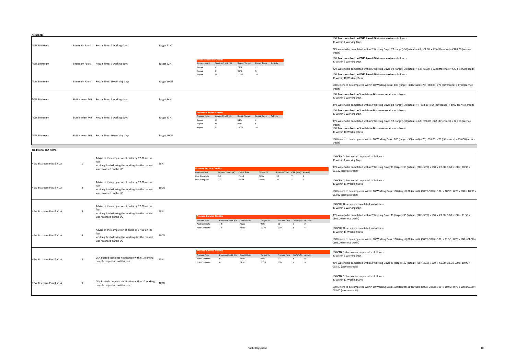| Assurance                    |                         |                                                                                      |             |                                                                                                                                                                      |                                                                                                                              |
|------------------------------|-------------------------|--------------------------------------------------------------------------------------|-------------|----------------------------------------------------------------------------------------------------------------------------------------------------------------------|------------------------------------------------------------------------------------------------------------------------------|
| <b>ADSL Bitstream</b>        |                         | Bitstream Faults Repair Time: 2 working days                                         | Target 77%  | 30 within 2 Working Days                                                                                                                                             | 100 faults resolved on POTS based Bitstream service as follows -                                                             |
|                              |                         |                                                                                      |             | credit)                                                                                                                                                              | 77% were to be completed within 2 Working Days: 77 (target)-30(actual) = 47; €4.00 x 47 (difference) = €188.00 (service      |
| <b>ADSL Bitstream</b>        |                         | Bitstream Faults Repair Time: 5 working days                                         | Target 92%  | 30 within 5 Working Days<br>Repair Target<br>Repair Days Activity<br>Process point<br>Service Credit (E)                                                             | 100 faults resolved on POTS based Bitstream service as follows -                                                             |
|                              |                         |                                                                                      |             | 77%<br>$\overline{2}$<br>92%<br>$\overline{7}$<br>$-5$                                                                                                               | 92% were to be completed within 5 Working Days: 92 (target)-30(actual) = 62; €7.00 x 62 (difference) = €434 (service credit) |
| <b>ADSL Bitstream</b>        |                         | Bitstream Faults Repair Time: 10 working days                                        | Target 100% | 100%<br>$10\,$<br>10<br>30 within 10 Working Days                                                                                                                    | 100 faults resolved on POTS based Bitstream service as follows -                                                             |
|                              |                         |                                                                                      |             | credit)                                                                                                                                                              | 100% were to be completed within 10 Working Days: 100 (target)-30(actual) = 70; €10.00 x 70 (difference) = €700 (service     |
| <b>ADSL Bitstream</b>        |                         | SA Bitstream MB Repair Time: 2 working days                                          | Target 84%  | 30 within 2 Working Days                                                                                                                                             | 100 faults resolved on Standalone Bitstream service as follows -                                                             |
|                              |                         |                                                                                      |             |                                                                                                                                                                      | 84% were to be completed within 2 Working Days: 84 (target)-30(actual) = ; €18.00 x 54 (difference) = €972 (service credit)  |
| <b>ADSL Bitstream</b>        |                         | SA Bitstream MB Repair Time: 5 working days                                          | Target 93%  | 30 within 5 Working Days<br>Repair Target<br>Repair Days Activity<br>Process noint<br>Service Credit (€)                                                             | 100 faults resolved on Standalone Bitstream service as follows -                                                             |
|                              |                         |                                                                                      |             | 18<br>84%<br>$\overline{2}$<br>36<br>93%<br>-5<br>credit)                                                                                                            | 93% were to be completed within 5 Working Days: 92 (target)-30(actual) = 63; €36.00 x 63 (difference) = €2,268 (service      |
| <b>ADSL Bitstream</b>        |                         | SA Bitstream MB Repair Time: 10 working days                                         | Target 100% | 36<br>100%<br>10<br>30 within 10 Working Days                                                                                                                        | 100 faults resolved on Standalone Bitstream service as follows -                                                             |
|                              |                         |                                                                                      |             | credit)                                                                                                                                                              | 100% were to be completed within 10 Working Days: 100 (target)-30(actual) = 70; €36.00 x 70 (difference) = €3,600 (service   |
| <b>Traditional SLA Items</b> |                         |                                                                                      |             |                                                                                                                                                                      |                                                                                                                              |
|                              |                         | Advise of the completion of order by 17:00 on the<br>first                           |             | 30 within 2 Working Days                                                                                                                                             | 100 CPN Orders were completed; as follows -                                                                                  |
| NGA Bitstream Plus & VUA     | <sup>1</sup>            | working day following the working day the request<br>was recorded on the UG          | 98%         | ocess Service Credits<br>€61.20 (service credit)<br>Process Time CAP (Y/N) Activity<br>Process Credit (€)<br>Credit Rule<br>Process Point<br>Target %                | 98% were to be completed within 2 Working Days; 98 (target)-30 (actual); (98%-30%) x 100 x €0.90; 0.68 x 100 x €0.90 =       |
|                              |                         | Advise of the completion of order by 17:00 on the                                    |             | Post Complete<br>0.9<br>Fixed<br>98%<br>1D<br>$\,$ 1<br>100%<br>10 <sub>D</sub><br>$\overline{2}$<br>Post Complete<br>0.9<br>Fixed<br>Y<br>30 within 11 Working Days | 100 CPN Orders were completed; as follows -                                                                                  |
| NGA Bitstream Plus & VUA     | $\overline{2}$          | first<br>working day following the working day the request<br>was recorded on the UG | 100%        | €63.00 (service credit)                                                                                                                                              | 100% were to be completed within 10 Working Days; 100 (target)-30 (actual); (100%-30%) x 100 x €0.90; 0.70 x 100 x €0.90     |
|                              |                         | Advise of the completion of order by 17:00 on the<br>first                           |             | 30 within 2 Working Days                                                                                                                                             | 100 CHN Orders were completed; as follows -                                                                                  |
| NGA Bitstream Plus & VUA     | $\overline{\mathbf{3}}$ | working day following the working day the request<br>was recorded on the UG          | 98%         | €102.00 (service credit)<br>Process Point<br>Process Credit $(E)$<br>Credit Rule<br>Process Time CAP (Y/N) Activity<br>Target %                                      | 98% were to be completed within 2 Working Days; 98 (target)-30 (actual); (98%-30%) x 100 x €1.50; 0.68 x 100 x €1.50 =       |
|                              |                         | Advise of the completion of order by 17:00 on the<br>first                           |             | $1.5\,$<br>Post Complete<br>Fixed<br>98%<br>1D<br>$1.5\,$<br>100%<br>10D<br>Post Complete<br>Fixed<br>Y<br>$\overline{4}$<br>30 within 11 Working Days               | 100 CHN Orders were completed; as follows -                                                                                  |
| NGA Bitstream Plus & VUA     | $\Delta$                | working day following the working day the request<br>was recorded on the UG          | 100%        | €105.00 (service credit)                                                                                                                                             | 100% were to be completed within 10 Working Days; 100 (target)-30 (actual); (100%-30%) x 100 x €1.50; 0.70 x 100 x €1.50 =   |
|                              |                         |                                                                                      |             | cess Service Cred<br>Process Point<br>Process Time CAP (Y/N) Activity<br>Process Credit (E)<br>Credit Rule<br>Target %<br>30 within 2 Working Days                   | 100 CEN Orders were completed; as follows -                                                                                  |
| NGA Bitstream Plus & VUA     | $\mathbf{R}$            | CEN Posted complete notification within 1 working<br>day of completion notification  | 95%         | 95%<br>1D<br>Post Complete<br>Fixed<br>$\Omega$<br>100%<br>Post Complete<br>10 <sub>D</sub><br>Fixed<br>$\overline{9}$<br>$\Omega$<br>€58.50 (service credit)        | 95% were to be completed within 2 Working Days; 95 (target)-30 (actual); (95%-30%) x 100 x €0.90; 0.65 x 100 x €0.90 =       |
|                              |                         | CEN Posted complete notification within 10 working                                   |             | 30 within 11 Working Days                                                                                                                                            | 100 CEN Orders were completed; as follows -                                                                                  |
| NGA Bitstream Plus & VUA     | 9                       | day of completion notification                                                       | 100%        | €63.00 (service credit)                                                                                                                                              | 100% were to be completed within 10 Working Days; 100 (target)-30 (actual); (100%-30%) x 100 x €0.90; 0.70 x 100 x €0.90 =   |
|                              |                         |                                                                                      |             |                                                                                                                                                                      |                                                                                                                              |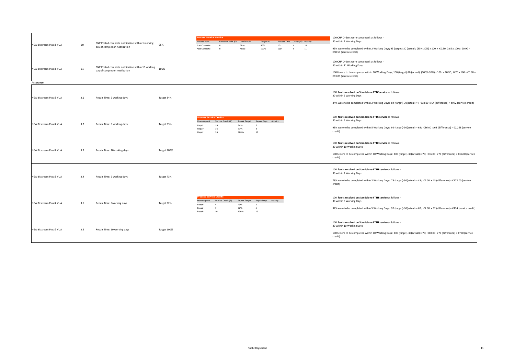| NGA Bitstream Plus & VUA              | 10  | CNP Posted complete notification within 1 working<br>day of completion notification  | 95%         | <b>Process Service Credits</b><br>Process Point<br>Post Complete<br>Post Complete | Process Credit (€) Credit Rule<br>$^{\circ}$<br>$\Omega$         | Fixed<br>Fixed                      | Target %<br>95%<br>100%                           | 1D<br>10D | Process Time CAP (Y/N) Activity<br>10<br>11 | 100 CNP Orders were completed; as follows -<br>30 within 2 Working Days<br>95% were to be completed within 2 Working Days; 95 (target)-30 (actual); (95%-30%) x 100 x €0.90; 0.65 x 100 x €0.90 =<br>€58.50 (service credit)      |
|---------------------------------------|-----|--------------------------------------------------------------------------------------|-------------|-----------------------------------------------------------------------------------|------------------------------------------------------------------|-------------------------------------|---------------------------------------------------|-----------|---------------------------------------------|-----------------------------------------------------------------------------------------------------------------------------------------------------------------------------------------------------------------------------------|
| NGA Bitstream Plus & VUA              | 11  | CNP Posted complete notification within 10 working<br>day of completion notification | 100%        |                                                                                   |                                                                  |                                     |                                                   |           |                                             | 100 CNP Orders were completed; as follows -<br>30 within 11 Working Days<br>100% were to be completed within 10 Working Days; 100 (target)-30 (actual); (100%-30%) x 100 x €0.90; 0.70 x 100 x €0.90 =<br>€63.00 (service credit) |
| Assurance<br>NGA Bitstream Plus & VUA | 3.1 | Repair Time: 2 working days                                                          | Target 84%  |                                                                                   |                                                                  |                                     |                                                   |           |                                             | 100 faults resolved on Standalone FTTC service as follows -<br>30 within 2 Working Days<br>84% were to be completed within 2 Working Days: 84 (target)-30(actual) = ; €18.00 x 54 (difference) = €972 (service credit)            |
| NGA Bitstream Plus & VUA              | 3.2 | Repair Time: 5 working days                                                          | Target 93%  | <b>Process Service Credits</b><br>Process point<br>Repair<br>Repair<br>Repair     | Service Credit $(6)$<br>18<br>36<br>36                           | Repair Target<br>84%<br>93%<br>100% | Repair Days Activity<br>$\overline{z}$<br>5<br>10 |           |                                             | 100 faults resolved on Standalone FTTC service as follows -<br>30 within 5 Working Days<br>93% were to be completed within 5 Working Days: 92 (target)-30(actual) = 63; €36.00 x 63 (difference) = €2,268 (service<br>credit)     |
| NGA Bitstream Plus & VUA              | 3.3 | Repair Time: 10working days                                                          | Target 100% |                                                                                   |                                                                  |                                     |                                                   |           |                                             | 100 faults resolved on Standalone FTTC service as follows -<br>30 within 10 Working Days<br>100% were to be completed within 10 Working Days: 100 (target)-30(actual) = 70; €36.00 x 70 (difference) = €3,600 (service<br>credit) |
| NGA Bitstream Plus & VUA              | 3.4 | Repair Time: 2 working days                                                          | Target 73%  |                                                                                   |                                                                  |                                     |                                                   |           |                                             | 100 faults resolved on Standalone FTTH service as follows -<br>30 within 2 Working Days<br>73% were to be completed within 2 Working Days: 73 (target)-30(actual) = 43; €4.00 x 43 (difference) = €172.00 (service<br>credit)     |
| NGA Bitstream Plus & VUA              | 3.5 | Repair Time: 5working days                                                           | Target 92%  | <b>rocess Service Credits</b><br>Process point<br>Repair<br>Repair<br>Repair      | Service Credit (€)<br>$\overline{4}$<br>$\overline{7}$<br>$10\,$ | Repair Target<br>73%<br>92%<br>100% | Repair Days Activity<br>$\overline{2}$<br>5<br>10 |           |                                             | 100 faults resolved on Standalone FTTH service as follows -<br>30 within 5 Working Days<br>92% were to be completed within 5 Working Days: 92 (target)-30(actual) = 62; €7.00 x 62 (difference) = €434 (service credit)           |
| NGA Bitstream Plus & VUA              | 3.6 | Repair Time: 10 working days                                                         | Target 100% |                                                                                   |                                                                  |                                     |                                                   |           |                                             | 100 faults resolved on Standalone FTTH service as follows -<br>30 within 10 Working Days<br>100% were to be completed within 10 Working Days: 100 (target)-30(actual) = 70; €10.00 x 70 (difference) = €700 (service<br>credit)   |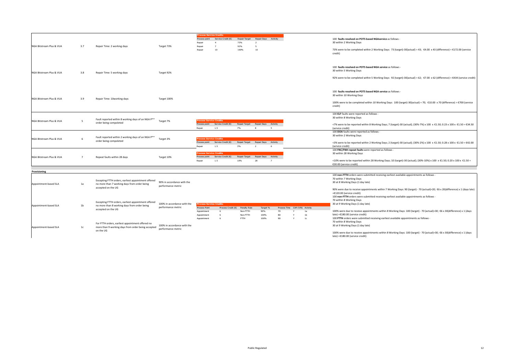| NGA Bitstream Plus & VUA              | 3.7            | Repair Time: 2 working days                                                                                               | Target 73%                                        | <b>Process Service Credits</b><br>Process point<br>Repair<br>Repair<br>Repair       | Service Credit $(E)$<br>$\overline{a}$<br>$\overline{7}$<br>10 | Repair Target<br>73%<br>92%<br>100%                                      | Repair Days Activity<br>$\overline{2}$<br>5<br>10 |                |                              |                                                                           | 100 faults resolved on POTS based NGAservice as follows<br>30 within 2 Working Days<br>73% were to be completed within 2 Working Days: 73 (target)-30(actual) = 43; €4.00 x 43 (difference) = €172.00 (service<br>credit)                                                                                                                                                                                           |
|---------------------------------------|----------------|---------------------------------------------------------------------------------------------------------------------------|---------------------------------------------------|-------------------------------------------------------------------------------------|----------------------------------------------------------------|--------------------------------------------------------------------------|---------------------------------------------------|----------------|------------------------------|---------------------------------------------------------------------------|---------------------------------------------------------------------------------------------------------------------------------------------------------------------------------------------------------------------------------------------------------------------------------------------------------------------------------------------------------------------------------------------------------------------|
| NGA Bitstream Plus & VUA              | 3.8            | Repair Time: 5 working days                                                                                               | Target 92%                                        |                                                                                     |                                                                |                                                                          |                                                   |                |                              |                                                                           | 100 faults resolved on POTS based NGA service as follows -<br>30 within 5 Working Days<br>92% were to be completed within 5 Working Days: 92 (target)-30(actual) = 62; €7.00 x 62 (difference) = €434 (service credit)                                                                                                                                                                                              |
| NGA Bitstream Plus & VUA              | 3.9            | Repair Time: 10working days                                                                                               | Target 100%                                       |                                                                                     |                                                                |                                                                          |                                                   |                |                              |                                                                           | 100 faults resolved on POTS based NGA service as follows -<br>30 within 10 Working Days<br>100% were to be completed within 10 Working Days: 100 (target)-30(actual) = 70; €10.00 x 70 (difference) = €700 (service<br>credit)                                                                                                                                                                                      |
| NGA Bitstream Plus & VUA              | -5             | Fault reported within 8 working days of an NGA P**<br>order being compoleted                                              | Target 7%                                         | <b>Tocess Service Credits</b><br>Repair                                             | Process point Service Credit $(\epsilon)$<br>1.5               | Repair Target Repair Days Activity<br>7%                                 | $\mathbf{R}$                                      | 5 <sup>5</sup> |                              |                                                                           | 100 ELF faults were reported as follows<br>30 within 8 Working Days<br><7% were to be reported within 8 Working Days; 7 (target)-30 (actual); (30%-7%) x 100 x €1.50; 0.23 x 100 x €1.50 = €34.50<br>(service credit)                                                                                                                                                                                               |
| NGA Bitstream Plus & VUA              | 6              | Fault reported within 2 working days of an NGA P*<br>order being compoleted                                               | Target 3%                                         | <b>Process Service Credits</b><br>Process point<br>Repair                           | Service Credit $(\epsilon)$<br>1.5                             | Repair Target<br>3%                                                      | Repair Days<br>$\mathcal{L}$                      | Activity       |                              |                                                                           | 100 DOA faults were reported as follows -<br>30 within 2 Working Days<br><3% were to be reported within 2 Working Days; 2 (target)-30 (actual); (30%-2%) x 100 x €1.50; 0.28 x 100 x €1.50 = €42.00<br>(service credit)                                                                                                                                                                                             |
| NGA Bitstream Plus & VUA              | $\overline{7}$ | Repeat faults within 28 days                                                                                              | Target 10%                                        | <b>Process Service Credits</b><br>Process point<br>Repair                           | Service Credit $(E)$<br>1.5                                    | Repair Target<br>10%                                                     | Repair Days<br>28                                 | Activity       |                              |                                                                           | 100 FNC/FNH repeat faults were reported as follows -<br>30 within 28 Working Days<br><10% were to be reported within 28 Working Days; 10 (target)-30 (actual); (30%-10%) x 100 x €1.50; 0.20 x 100 x €1.50 =<br>€30.00 (service credit)                                                                                                                                                                             |
|                                       |                |                                                                                                                           |                                                   |                                                                                     |                                                                |                                                                          |                                                   |                |                              |                                                                           |                                                                                                                                                                                                                                                                                                                                                                                                                     |
| Provisioning<br>Appointment-based SLA | 1a             | Excepting FTTH orders, earliest appointment offered<br>no more than 7 working days from order being<br>accepted on the UG | 90% in accordance with the<br>performance metric  |                                                                                     |                                                                |                                                                          |                                                   |                |                              |                                                                           | 100 non-FTTH orders were submitted receiving earliest available appointments as follows<br>70 within 7 Working Days<br>30 at 8 Working Days (1 day late)<br>90% were due to receive appointments within 7 Working Days: 90 (target) - 70 (actual)=20; €6 x 20(difference) x 1 (days late)<br>=€120.00 (service credit)                                                                                              |
| Appointment-based SLA                 | 1 <sub>b</sub> | Excepting FTTH orders, earliest appointment offered<br>no more than 8 working days from order being<br>accepted on the UG | 100% in accordance with the<br>performance metric | ocess Service Credits<br>Process Point<br>Appointment<br>Appointment<br>Appointment |                                                                | Process Credit $(E)$ Penalty Rule<br>Non-FTTH<br>Non-FTTH<br><b>FTTH</b> | Target %<br>90%<br>100%<br>100%                   | 7D<br>8D<br>9D | $\mathsf{v}$<br>$\mathsf{v}$ | Process Time CAP (Y/N) Activity<br>1a<br>1 <sub>b</sub><br>1 <sub>c</sub> | 100 non-FTTH orders were submitted receiving earliest available appointments as follows -<br>70 within 8 Working Days<br>30 at 9 Working Days (1 day late)<br>100% were due to receive appointments within 8 Working Days: 100 (target) - 70 (actual)=30; €6 x 30(difference) x 1 (days<br>late) =€180.00 (service credit)<br>100 FTTH orders were submitted receiving earliest available appointments as follows - |
| Appointment-based SLA                 | 1c             | For FTTH orders, earliest appointment offered no<br>more than 9 working days from order being accepted<br>on the UG       | 100% in accordance with the<br>performance metric |                                                                                     |                                                                |                                                                          |                                                   |                |                              |                                                                           | 70 within 8 Working Days<br>30 at 9 Working Days (1 day late)<br>100% were due to receive appointments within 8 Working Days: 100 (target) - 70 (actual)=30; €6 x 30(difference) x 1 (days<br>late) =€180.00 (service credit)                                                                                                                                                                                       |